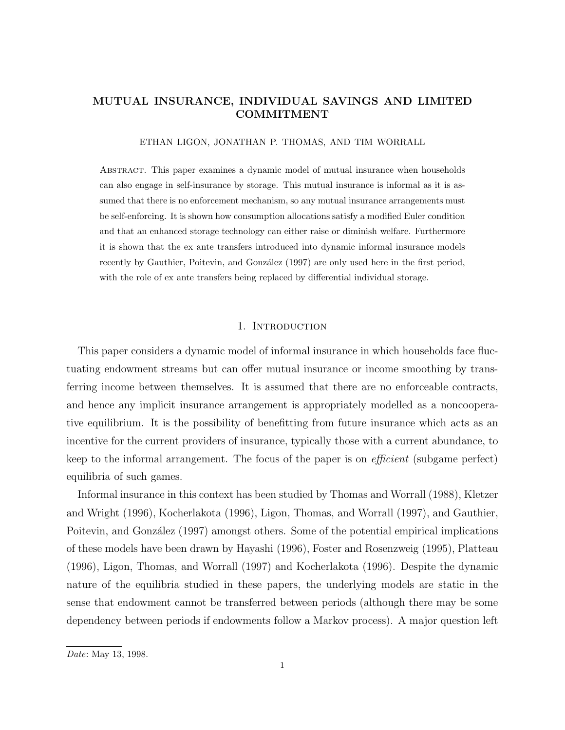# **MUTUAL INSURANCE, INDIVIDUAL SAVINGS AND LIMITED COMMITMENT**

ETHAN LIGON, JONATHAN P. THOMAS, AND TIM WORRALL

Abstract. This paper examines a dynamic model of mutual insurance when households can also engage in self-insurance by storage. This mutual insurance is informal as it is assumed that there is no enforcement mechanism, so any mutual insurance arrangements must be self-enforcing. It is shown how consumption allocations satisfy a modified Euler condition and that an enhanced storage technology can either raise or diminish welfare. Furthermore it is shown that the ex ante transfers introduced into dynamic informal insurance models recently by Gauthier, Poitevin, and González (1997) are only used here in the first period, with the role of ex ante transfers being replaced by differential individual storage.

# 1. INTRODUCTION

This paper considers a dynamic model of informal insurance in which households face fluctuating endowment streams but can offer mutual insurance or income smoothing by transferring income between themselves. It is assumed that there are no enforceable contracts, and hence any implicit insurance arrangement is appropriately modelled as a noncooperative equilibrium. It is the possibility of benefitting from future insurance which acts as an incentive for the current providers of insurance, typically those with a current abundance, to keep to the informal arrangement. The focus of the paper is on efficient (subgame perfect) equilibria of such games.

Informal insurance in this context has been studied by Thomas and Worrall (1988), Kletzer and Wright (1996), Kocherlakota (1996), Ligon, Thomas, and Worrall (1997), and Gauthier, Poitevin, and González (1997) amongst others. Some of the potential empirical implications of these models have been drawn by Hayashi (1996), Foster and Rosenzweig (1995), Platteau (1996), Ligon, Thomas, and Worrall (1997) and Kocherlakota (1996). Despite the dynamic nature of the equilibria studied in these papers, the underlying models are static in the sense that endowment cannot be transferred between periods (although there may be some dependency between periods if endowments follow a Markov process). A major question left

Date: May 13, 1998.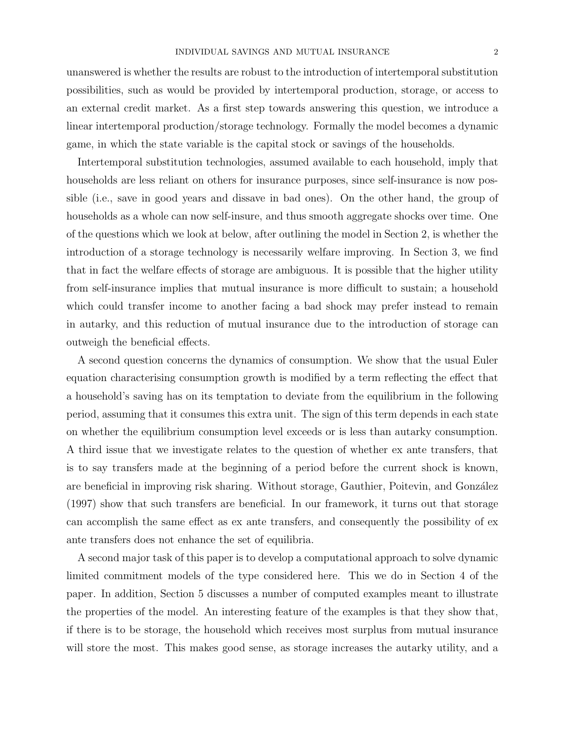unanswered is whether the results are robust to the introduction of intertemporal substitution possibilities, such as would be provided by intertemporal production, storage, or access to an external credit market. As a first step towards answering this question, we introduce a linear intertemporal production/storage technology. Formally the model becomes a dynamic game, in which the state variable is the capital stock or savings of the households.

Intertemporal substitution technologies, assumed available to each household, imply that households are less reliant on others for insurance purposes, since self-insurance is now possible (i.e., save in good years and dissave in bad ones). On the other hand, the group of households as a whole can now self-insure, and thus smooth aggregate shocks over time. One of the questions which we look at below, after outlining the model in Section 2, is whether the introduction of a storage technology is necessarily welfare improving. In Section 3, we find that in fact the welfare effects of storage are ambiguous. It is possible that the higher utility from self-insurance implies that mutual insurance is more difficult to sustain; a household which could transfer income to another facing a bad shock may prefer instead to remain in autarky, and this reduction of mutual insurance due to the introduction of storage can outweigh the beneficial effects.

A second question concerns the dynamics of consumption. We show that the usual Euler equation characterising consumption growth is modified by a term reflecting the effect that a household's saving has on its temptation to deviate from the equilibrium in the following period, assuming that it consumes this extra unit. The sign of this term depends in each state on whether the equilibrium consumption level exceeds or is less than autarky consumption. A third issue that we investigate relates to the question of whether ex ante transfers, that is to say transfers made at the beginning of a period before the current shock is known, are beneficial in improving risk sharing. Without storage, Gauthier, Poitevin, and González (1997) show that such transfers are beneficial. In our framework, it turns out that storage can accomplish the same effect as ex ante transfers, and consequently the possibility of ex ante transfers does not enhance the set of equilibria.

A second major task of this paper is to develop a computational approach to solve dynamic limited commitment models of the type considered here. This we do in Section 4 of the paper. In addition, Section 5 discusses a number of computed examples meant to illustrate the properties of the model. An interesting feature of the examples is that they show that, if there is to be storage, the household which receives most surplus from mutual insurance will store the most. This makes good sense, as storage increases the autarky utility, and a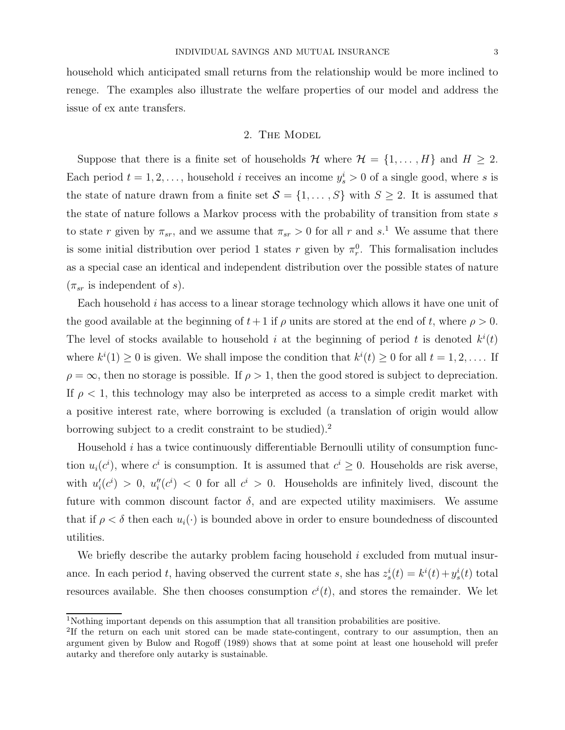household which anticipated small returns from the relationship would be more inclined to renege. The examples also illustrate the welfare properties of our model and address the issue of ex ante transfers.

## 2. The Model

Suppose that there is a finite set of households H where  $\mathcal{H} = \{1, \ldots, H\}$  and  $H \geq 2$ . Each period  $t = 1, 2, \ldots$ , household i receives an income  $y_s^i > 0$  of a single good, where s is the state of nature drawn from a finite set  $S = \{1, \ldots, S\}$  with  $S \geq 2$ . It is assumed that the state of nature follows a Markov process with the probability of transition from state s to state r given by  $\pi_{sr}$ , and we assume that  $\pi_{sr} > 0$  for all r and s.<sup>1</sup> We assume that there is some initial distribution over period 1 states r given by  $\pi_r^0$ . This formalisation includes as a special case an identical and independent distribution over the possible states of nature  $(\pi_{sr}$  is independent of s).

Each household i has access to a linear storage technology which allows it have one unit of the good available at the beginning of  $t+1$  if  $\rho$  units are stored at the end of t, where  $\rho > 0$ . The level of stocks available to household i at the beginning of period t is denoted  $k^{i}(t)$ where  $k^{i}(1) \geq 0$  is given. We shall impose the condition that  $k^{i}(t) \geq 0$  for all  $t = 1, 2, \ldots$  If  $\rho = \infty$ , then no storage is possible. If  $\rho > 1$ , then the good stored is subject to depreciation. If  $\rho < 1$ , this technology may also be interpreted as access to a simple credit market with a positive interest rate, where borrowing is excluded (a translation of origin would allow borrowing subject to a credit constraint to be studied).<sup>2</sup>

Household  $i$  has a twice continuously differentiable Bernoulli utility of consumption function  $u_i(c^i)$ , where  $c^i$  is consumption. It is assumed that  $c^i \geq 0$ . Households are risk averse, with  $u_i'(c^i) > 0$ ,  $u_i''(c^i) < 0$  for all  $c^i > 0$ . Households are infinitely lived, discount the future with common discount factor  $\delta$ , and are expected utility maximisers. We assume that if  $\rho < \delta$  then each  $u_i(\cdot)$  is bounded above in order to ensure boundedness of discounted utilities.

We briefly describe the autarky problem facing household  $i$  excluded from mutual insurance. In each period t, having observed the current state s, she has  $z_s^i(t) = k^i(t) + y_s^i(t)$  total resources available. She then chooses consumption  $c^{i}(t)$ , and stores the remainder. We let

<sup>1</sup>Nothing important depends on this assumption that all transition probabilities are positive.

<sup>2</sup>If the return on each unit stored can be made state-contingent, contrary to our assumption, then an argument given by Bulow and Rogoff (1989) shows that at some point at least one household will prefer autarky and therefore only autarky is sustainable.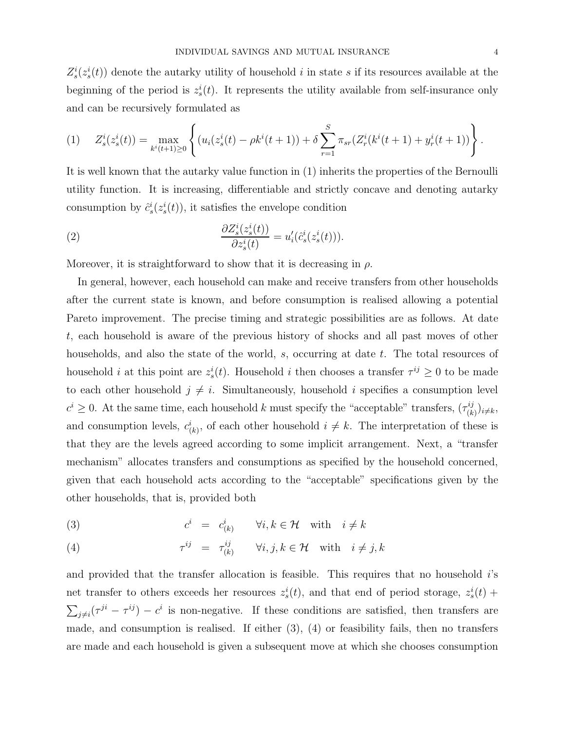$Z_s^i(z_s^i(t))$  denote the autarky utility of household i in state s if its resources available at the beginning of the period is  $z_s^i(t)$ . It represents the utility available from self-insurance only and can be recursively formulated as

$$
(1) \quad Z_s^i(z_s^i(t)) = \max_{k^i(t+1)\geq 0} \left\{ (u_i(z_s^i(t) - \rho k^i(t+1)) + \delta \sum_{r=1}^S \pi_{sr}(Z_r^i(k^i(t+1) + y_r^i(t+1))) \right\}.
$$

It is well known that the autarky value function in (1) inherits the properties of the Bernoulli utility function. It is increasing, differentiable and strictly concave and denoting autarky consumption by  $\hat{c}_s^i(z_s^i(t))$ , it satisfies the envelope condition

(2) 
$$
\frac{\partial Z_s^i(z_s^i(t))}{\partial z_s^i(t)} = u'_i(\hat{c}_s^i(z_s^i(t))).
$$

Moreover, it is straightforward to show that it is decreasing in  $\rho$ .

In general, however, each household can make and receive transfers from other households after the current state is known, and before consumption is realised allowing a potential Pareto improvement. The precise timing and strategic possibilities are as follows. At date t, each household is aware of the previous history of shocks and all past moves of other households, and also the state of the world, s, occurring at date t. The total resources of household *i* at this point are  $z_s^i(t)$ . Household *i* then chooses a transfer  $\tau^{ij} \geq 0$  to be made to each other household  $j \neq i$ . Simultaneously, household i specifies a consumption level  $c^i \geq 0$ . At the same time, each household k must specify the "acceptable" transfers,  $(\tau_{(k)}^{ij})_{i \neq k}$ , and consumption levels,  $c^i_{(k)}$ , of each other household  $i \neq k$ . The interpretation of these is that they are the levels agreed according to some implicit arrangement. Next, a "transfer mechanism" allocates transfers and consumptions as specified by the household concerned, given that each household acts according to the "acceptable" specifications given by the other households, that is, provided both

(3) 
$$
c^i = c^i_{(k)} \qquad \forall i, k \in \mathcal{H} \quad \text{with} \quad i \neq k
$$

(4) 
$$
\tau^{ij} = \tau^{ij}_{(k)} \quad \forall i, j, k \in \mathcal{H} \quad \text{with} \quad i \neq j, k
$$

and provided that the transfer allocation is feasible. This requires that no household i's net transfer to others exceeds her resources  $z_s^i(t)$ , and that end of period storage,  $z_s^i(t)$  +  $\sum_{j\neq i}(\tau^{ji}-\tau^{ij})-c^i$  is non-negative. If these conditions are satisfied, then transfers are made, and consumption is realised. If either (3), (4) or feasibility fails, then no transfers are made and each household is given a subsequent move at which she chooses consumption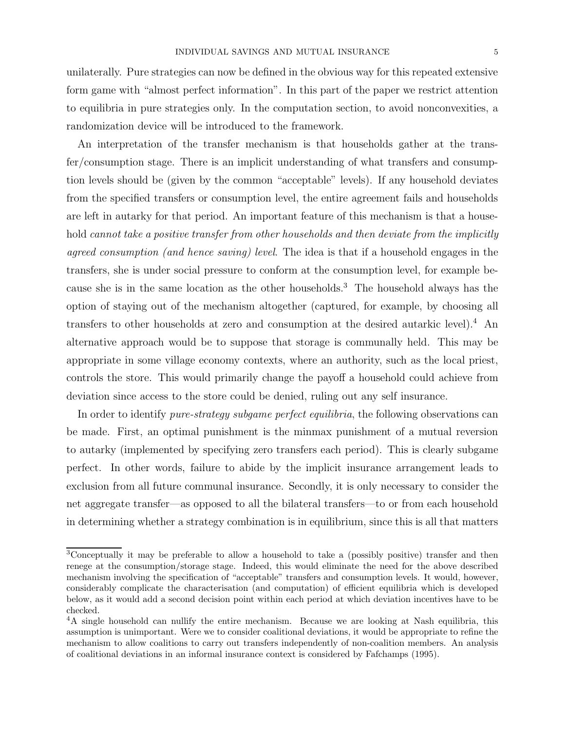unilaterally. Pure strategies can now be defined in the obvious way for this repeated extensive form game with "almost perfect information". In this part of the paper we restrict attention to equilibria in pure strategies only. In the computation section, to avoid nonconvexities, a randomization device will be introduced to the framework.

An interpretation of the transfer mechanism is that households gather at the transfer/consumption stage. There is an implicit understanding of what transfers and consumption levels should be (given by the common "acceptable" levels). If any household deviates from the specified transfers or consumption level, the entire agreement fails and households are left in autarky for that period. An important feature of this mechanism is that a household cannot take a positive transfer from other households and then deviate from the implicitly agreed consumption (and hence saving) level. The idea is that if a household engages in the transfers, she is under social pressure to conform at the consumption level, for example because she is in the same location as the other households.<sup>3</sup> The household always has the option of staying out of the mechanism altogether (captured, for example, by choosing all transfers to other households at zero and consumption at the desired autarkic level).<sup>4</sup> An alternative approach would be to suppose that storage is communally held. This may be appropriate in some village economy contexts, where an authority, such as the local priest, controls the store. This would primarily change the payoff a household could achieve from deviation since access to the store could be denied, ruling out any self insurance.

In order to identify *pure-strategy subgame perfect equilibria*, the following observations can be made. First, an optimal punishment is the minmax punishment of a mutual reversion to autarky (implemented by specifying zero transfers each period). This is clearly subgame perfect. In other words, failure to abide by the implicit insurance arrangement leads to exclusion from all future communal insurance. Secondly, it is only necessary to consider the net aggregate transfer—as opposed to all the bilateral transfers—to or from each household in determining whether a strategy combination is in equilibrium, since this is all that matters

<sup>3</sup>Conceptually it may be preferable to allow a household to take a (possibly positive) transfer and then renege at the consumption/storage stage. Indeed, this would eliminate the need for the above described mechanism involving the specification of "acceptable" transfers and consumption levels. It would, however, considerably complicate the characterisation (and computation) of efficient equilibria which is developed below, as it would add a second decision point within each period at which deviation incentives have to be checked.

<sup>4</sup>A single household can nullify the entire mechanism. Because we are looking at Nash equilibria, this assumption is unimportant. Were we to consider coalitional deviations, it would be appropriate to refine the mechanism to allow coalitions to carry out transfers independently of non-coalition members. An analysis of coalitional deviations in an informal insurance context is considered by Fafchamps (1995).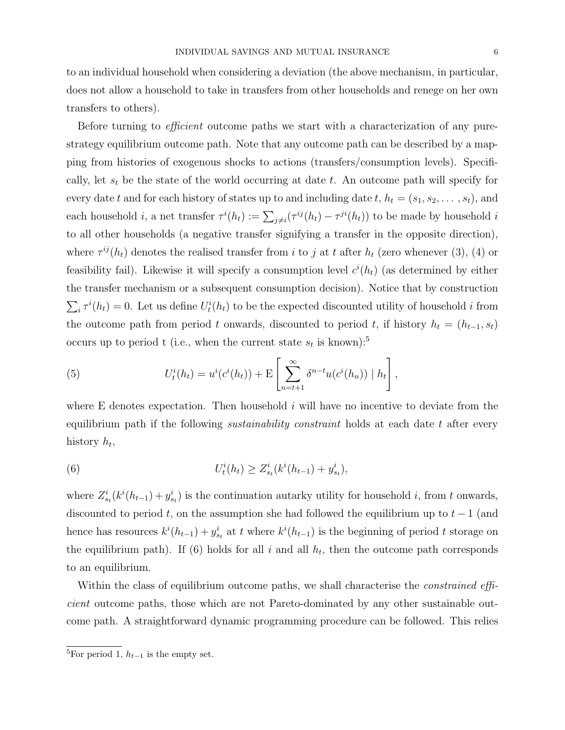to an individual household when considering a deviation (the above mechanism, in particular, does not allow a household to take in transfers from other households and renege on her own transfers to others).

Before turning to *efficient* outcome paths we start with a characterization of any purestrategy equilibrium outcome path. Note that any outcome path can be described by a mapping from histories of exogenous shocks to actions (transfers/consumption levels). Specifically, let  $s_t$  be the state of the world occurring at date t. An outcome path will specify for every date t and for each history of states up to and including date t,  $h_t = (s_1, s_2, \ldots, s_t)$ , and each household *i*, a net transfer  $\tau^{i}(h_t) := \sum_{j \neq i} (\tau^{ij}(h_t) - \tau^{ji}(h_t))$  to be made by household *i* to all other households (a negative transfer signifying a transfer in the opposite direction), where  $\tau^{ij}(h_t)$  denotes the realised transfer from i to j at t after  $h_t$  (zero whenever (3), (4) or feasibility fail). Likewise it will specify a consumption level  $c^{i}(h_t)$  (as determined by either the transfer mechanism or a subsequent consumption decision). Notice that by construction  $\sum_i \tau^i(h_t) = 0$ . Let us define  $U_t^i(h_t)$  to be the expected discounted utility of household i from the outcome path from period t onwards, discounted to period t, if history  $h_t = (h_{t-1}, s_t)$ occurs up to period t (i.e., when the current state  $s_t$  is known):<sup>5</sup>

(5) 
$$
U_t^i(h_t) = u^i(c^i(h_t)) + \mathbb{E}\left[\sum_{n=t+1}^{\infty} \delta^{n-t} u(c^i(h_n)) | h_t\right],
$$

where E denotes expectation. Then household  $i$  will have no incentive to deviate from the equilibrium path if the following *sustainability constraint* holds at each date t after every history  $h_t$ ,

(6) 
$$
U_t^i(h_t) \geq Z_{s_t}^i(k^i(h_{t-1}) + y_{s_t}^i),
$$

where  $Z_{s_t}^i(k^i(h_{t-1})+y_{s_t}^i)$  is the continuation autarky utility for household i, from t onwards, discounted to period t, on the assumption she had followed the equilibrium up to  $t-1$  (and hence has resources  $k^{i}(h_{t-1}) + y_{s_t}^{i}$  at t where  $k^{i}(h_{t-1})$  is the beginning of period t storage on the equilibrium path). If (6) holds for all i and all  $h_t$ , then the outcome path corresponds to an equilibrium.

Within the class of equilibrium outcome paths, we shall characterise the *constrained effi*cient outcome paths, those which are not Pareto-dominated by any other sustainable outcome path. A straightforward dynamic programming procedure can be followed. This relies

<sup>&</sup>lt;sup>5</sup>For period 1,  $h_{t-1}$  is the empty set.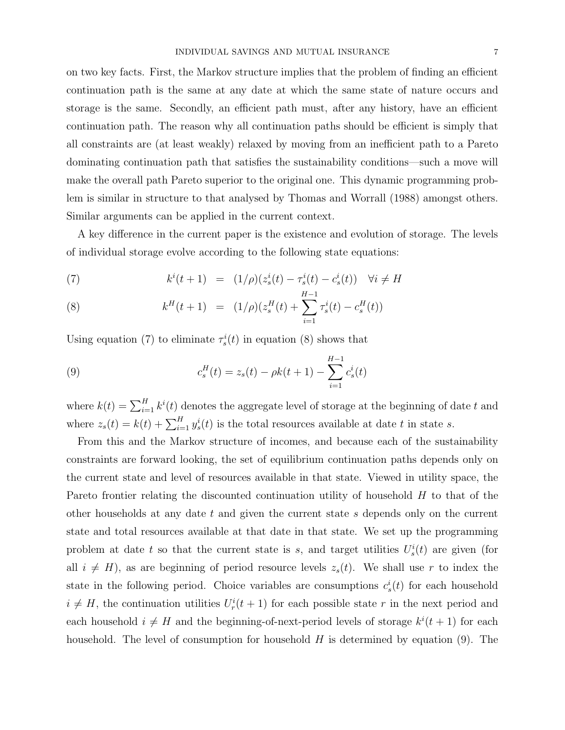on two key facts. First, the Markov structure implies that the problem of finding an efficient continuation path is the same at any date at which the same state of nature occurs and storage is the same. Secondly, an efficient path must, after any history, have an efficient continuation path. The reason why all continuation paths should be efficient is simply that all constraints are (at least weakly) relaxed by moving from an inefficient path to a Pareto dominating continuation path that satisfies the sustainability conditions—such a move will make the overall path Pareto superior to the original one. This dynamic programming problem is similar in structure to that analysed by Thomas and Worrall (1988) amongst others. Similar arguments can be applied in the current context.

A key difference in the current paper is the existence and evolution of storage. The levels of individual storage evolve according to the following state equations:

(7) 
$$
k^{i}(t+1) = (1/\rho)(z_{s}^{i}(t) - \tau_{s}^{i}(t) - c_{s}^{i}(t)) \quad \forall i \neq H
$$

(8) 
$$
k^{H}(t+1) = (1/\rho)(z_s^{H}(t) + \sum_{i=1}^{H-1} \tau_s^{i}(t) - c_s^{H}(t))
$$

Using equation (7) to eliminate  $\tau_s^i(t)$  in equation (8) shows that

(9) 
$$
c_s^H(t) = z_s(t) - \rho k(t+1) - \sum_{i=1}^{H-1} c_s^i(t)
$$

where  $k(t) = \sum_{i=1}^{H} k^{i}(t)$  denotes the aggregate level of storage at the beginning of date t and where  $z_s(t) = k(t) + \sum_{i=1}^{H} y_s^i(t)$  is the total resources available at date t in state s.

From this and the Markov structure of incomes, and because each of the sustainability constraints are forward looking, the set of equilibrium continuation paths depends only on the current state and level of resources available in that state. Viewed in utility space, the Pareto frontier relating the discounted continuation utility of household H to that of the other households at any date  $t$  and given the current state  $s$  depends only on the current state and total resources available at that date in that state. We set up the programming problem at date t so that the current state is s, and target utilities  $U_s^i(t)$  are given (for all  $i \neq H$ , as are beginning of period resource levels  $z_s(t)$ . We shall use r to index the state in the following period. Choice variables are consumptions  $c_s^i(t)$  for each household  $i \neq H$ , the continuation utilities  $U_r^i(t+1)$  for each possible state r in the next period and each household  $i \neq H$  and the beginning-of-next-period levels of storage  $k^{i}(t+1)$  for each household. The level of consumption for household  $H$  is determined by equation (9). The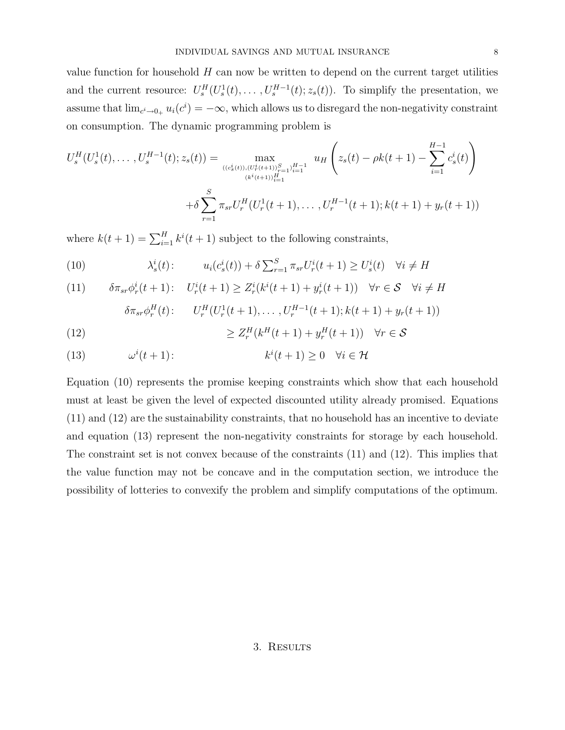value function for household  $H$  can now be written to depend on the current target utilities and the current resource:  $U_s^H(U_s^1(t),\ldots,U_s^{H-1}(t);z_s(t))$ . To simplify the presentation, we assume that  $\lim_{c \to 0+} u_i(c^i) = -\infty$ , which allows us to disregard the non-negativity constraint on consumption. The dynamic programming problem is

$$
U_s^H(U_s^1(t),...,U_s^{H-1}(t);z_s(t)) = \max_{\substack{((c_s^i(t)),(U_r^i(t+1))_{r=1}^S,\\(k^i(t+1))_{t=1}^H}} u_H\left(z_s(t) - \rho k(t+1) - \sum_{i=1}^{H-1} c_s^i(t)\right)
$$

$$
+ \delta \sum_{r=1}^S \pi_{sr} U_r^H(U_r^1(t+1),...,U_r^{H-1}(t+1);k(t+1)+y_r(t+1))
$$

where  $k(t+1) = \sum_{i=1}^{H} k^{i}(t+1)$  subject to the following constraints,

(10) 
$$
\lambda_s^i(t): \qquad u_i(c_s^i(t)) + \delta \sum_{r=1}^S \pi_{sr} U_r^i(t+1) \ge U_s^i(t) \quad \forall i \ne H
$$

(11) 
$$
\delta \pi_{sr} \phi_r^i(t+1): U_r^i(t+1) \ge Z_r^i(k^i(t+1) + y_r^i(t+1)) \quad \forall r \in \mathcal{S} \quad \forall i \ne H
$$

$$
\delta \pi_{sr} \phi_r^H(t) : \qquad U_r^H(U_r^1(t+1), \dots, U_r^{H-1}(t+1); k(t+1) + y_r(t+1))
$$

(12) 
$$
\geq Z_r^H(k^H(t+1) + y_r^H(t+1)) \quad \forall r \in \mathcal{S}
$$

(13) 
$$
\omega^{i}(t+1): \qquad k^{i}(t+1) \geq 0 \quad \forall i \in \mathcal{H}
$$

Equation (10) represents the promise keeping constraints which show that each household must at least be given the level of expected discounted utility already promised. Equations (11) and (12) are the sustainability constraints, that no household has an incentive to deviate and equation (13) represent the non-negativity constraints for storage by each household. The constraint set is not convex because of the constraints (11) and (12). This implies that the value function may not be concave and in the computation section, we introduce the possibility of lotteries to convexify the problem and simplify computations of the optimum.

### 3. Results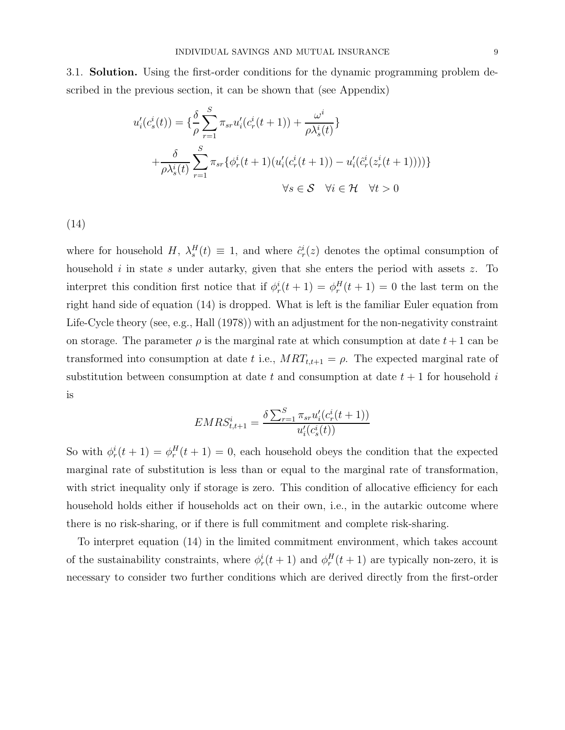3.1. **Solution.** Using the first-order conditions for the dynamic programming problem described in the previous section, it can be shown that (see Appendix)

$$
u'_{i}(c_s^i(t)) = \{\frac{\delta}{\rho} \sum_{r=1}^{S} \pi_{sr} u'_{i}(c_r^i(t+1)) + \frac{\omega^i}{\rho \lambda_s^i(t)}\}
$$

$$
+ \frac{\delta}{\rho \lambda_s^i(t)} \sum_{r=1}^{S} \pi_{sr} {\{\phi_r^i(t+1)(u'_{i}(c_r^i(t+1)) - u'_{i}(\hat{c}_r^i(z_r^i(t+1))))\}}
$$

$$
\forall s \in S \quad \forall i \in \mathcal{H} \quad \forall t > 0
$$

(14)

where for household H,  $\lambda_s^H(t) \equiv 1$ , and where  $\hat{c}_r^i(z)$  denotes the optimal consumption of household  $i$  in state s under autarky, given that she enters the period with assets z. To interpret this condition first notice that if  $\phi_r^i(t+1) = \phi_r^H(t+1) = 0$  the last term on the right hand side of equation (14) is dropped. What is left is the familiar Euler equation from Life-Cycle theory (see, e.g., Hall (1978)) with an adjustment for the non-negativity constraint on storage. The parameter  $\rho$  is the marginal rate at which consumption at date  $t+1$  can be transformed into consumption at date t i.e.,  $MRT_{t,t+1} = \rho$ . The expected marginal rate of substitution between consumption at date t and consumption at date  $t + 1$  for household i is

$$
EMRS_{t,t+1}^{i} = \frac{\delta \sum_{r=1}^{S} \pi_{sr} u'_{i} (c_r^{i}(t+1))}{u'_{i}(c_s^{i}(t))}
$$

So with  $\phi_r^i(t+1) = \phi_r^H(t+1) = 0$ , each household obeys the condition that the expected marginal rate of substitution is less than or equal to the marginal rate of transformation, with strict inequality only if storage is zero. This condition of allocative efficiency for each household holds either if households act on their own, i.e., in the autarkic outcome where there is no risk-sharing, or if there is full commitment and complete risk-sharing.

To interpret equation (14) in the limited commitment environment, which takes account of the sustainability constraints, where  $\phi_r^i(t+1)$  and  $\phi_r^H(t+1)$  are typically non-zero, it is necessary to consider two further conditions which are derived directly from the first-order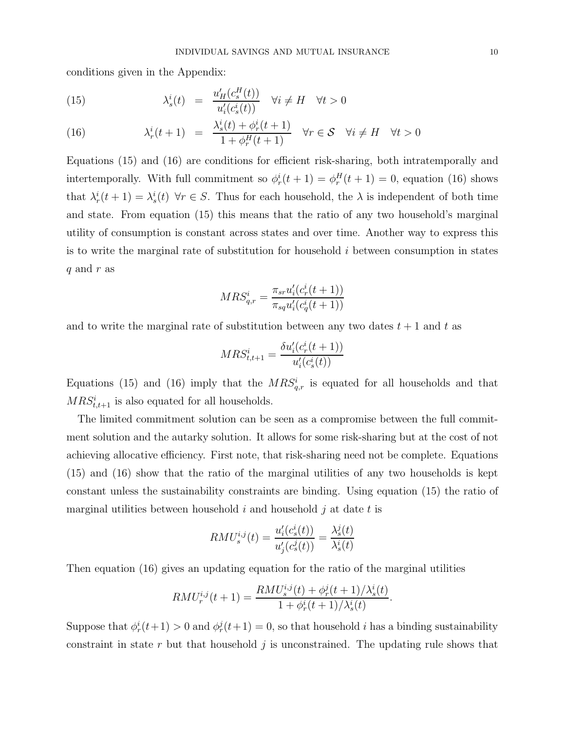conditions given in the Appendix:

(15) 
$$
\lambda_s^i(t) = \frac{u'_H(c_s^H(t))}{u'_i(c_s^i(t))} \quad \forall i \neq H \quad \forall t > 0
$$

(16) 
$$
\lambda_r^i(t+1) = \frac{\lambda_s^i(t) + \phi_r^i(t+1)}{1 + \phi_r^H(t+1)} \quad \forall r \in S \quad \forall i \neq H \quad \forall t > 0
$$

Equations (15) and (16) are conditions for efficient risk-sharing, both intratemporally and intertemporally. With full commitment so  $\phi_r^i(t+1) = \phi_r^H(t+1) = 0$ , equation (16) shows that  $\lambda_r^i(t+1) = \lambda_s^i(t)$   $\forall r \in S$ . Thus for each household, the  $\lambda$  is independent of both time and state. From equation (15) this means that the ratio of any two household's marginal utility of consumption is constant across states and over time. Another way to express this is to write the marginal rate of substitution for household  $i$  between consumption in states q and r as

$$
MRS_{q,r}^i = \frac{\pi_{sr} u_i'(c_r^i(t+1))}{\pi_{sq} u_i'(c_q^i(t+1))}
$$

and to write the marginal rate of substitution between any two dates  $t + 1$  and t as

$$
MRS_{t,t+1}^i = \frac{\delta u_i'(c_r^i(t+1))}{u_i'(c_s^i(t))}
$$

Equations (15) and (16) imply that the  $MRS_{q,r}^{i}$  is equated for all households and that  $MRS_{t,t+1}^i$  is also equated for all households.

The limited commitment solution can be seen as a compromise between the full commitment solution and the autarky solution. It allows for some risk-sharing but at the cost of not achieving allocative efficiency. First note, that risk-sharing need not be complete. Equations (15) and (16) show that the ratio of the marginal utilities of any two households is kept constant unless the sustainability constraints are binding. Using equation (15) the ratio of marginal utilities between household  $i$  and household  $j$  at date  $t$  is

$$
RMU_s^{i,j}(t) = \frac{u_i'(c_s^i(t))}{u_j'(c_s^j(t))} = \frac{\lambda_s^j(t)}{\lambda_s^i(t)}
$$

Then equation (16) gives an updating equation for the ratio of the marginal utilities

$$
RMU_r^{i,j}(t+1) = \frac{RMU_s^{i,j}(t) + \phi_r^j(t+1)/\lambda_s^i(t)}{1 + \phi_r^i(t+1)/\lambda_s^i(t)}.
$$

Suppose that  $\phi_r^i(t+1) > 0$  and  $\phi_r^j(t+1) = 0$ , so that household *i* has a binding sustainability constraint in state  $r$  but that household  $j$  is unconstrained. The updating rule shows that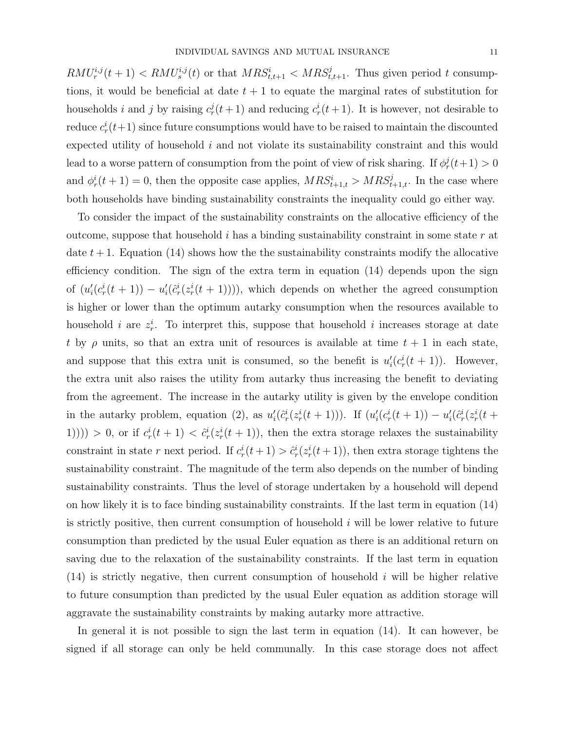$RMU^{i,j}_{r}(t+1) < RMU^{i,j}_{s}(t)$  or that  $MRS^{i}_{t,t+1} < MRS^{j}_{t,t+1}$ . Thus given period t consumptions, it would be beneficial at date  $t + 1$  to equate the marginal rates of substitution for households *i* and *j* by raising  $c_r^j(t+1)$  and reducing  $c_r^i(t+1)$ . It is however, not desirable to reduce  $c_r^i(t+1)$  since future consumptions would have to be raised to maintain the discounted expected utility of household i and not violate its sustainability constraint and this would lead to a worse pattern of consumption from the point of view of risk sharing. If  $\phi_r^j(t+1) > 0$ and  $\phi_r^i(t+1) = 0$ , then the opposite case applies,  $MRS_{t+1,t}^i > MRS_{t+1,t}^j$ . In the case where both households have binding sustainability constraints the inequality could go either way.

To consider the impact of the sustainability constraints on the allocative efficiency of the outcome, suppose that household i has a binding sustainability constraint in some state  $r$  at date  $t + 1$ . Equation (14) shows how the the sustainability constraints modify the allocative efficiency condition. The sign of the extra term in equation (14) depends upon the sign of  $(u_i'(c_r^i(t+1)) - u_i'(\hat{c}_r^i(z_r^i(t+1))))$ , which depends on whether the agreed consumption is higher or lower than the optimum autarky consumption when the resources available to household i are  $z_r^i$ . To interpret this, suppose that household i increases storage at date t by  $\rho$  units, so that an extra unit of resources is available at time  $t + 1$  in each state, and suppose that this extra unit is consumed, so the benefit is  $u'_i(c^i_r(t+1))$ . However, the extra unit also raises the utility from autarky thus increasing the benefit to deviating from the agreement. The increase in the autarky utility is given by the envelope condition in the autarky problem, equation (2), as  $u'_i(\hat{c}^i_r(z^i_r(t+1)))$ . If  $(u'_i(c^i_r(t+1)) - u'_i(\hat{c}^i_r(z^i_r(t+1)))$ 1(1))) > 0, or if  $c_r^i(t+1) < \hat{c}_r^i(z_r^i(t+1))$ , then the extra storage relaxes the sustainability constraint in state r next period. If  $c_r^i(t+1) > \hat{c}_r^i(z_r^i(t+1))$ , then extra storage tightens the sustainability constraint. The magnitude of the term also depends on the number of binding sustainability constraints. Thus the level of storage undertaken by a household will depend on how likely it is to face binding sustainability constraints. If the last term in equation (14) is strictly positive, then current consumption of household  $i$  will be lower relative to future consumption than predicted by the usual Euler equation as there is an additional return on saving due to the relaxation of the sustainability constraints. If the last term in equation  $(14)$  is strictly negative, then current consumption of household i will be higher relative to future consumption than predicted by the usual Euler equation as addition storage will aggravate the sustainability constraints by making autarky more attractive.

In general it is not possible to sign the last term in equation (14). It can however, be signed if all storage can only be held communally. In this case storage does not affect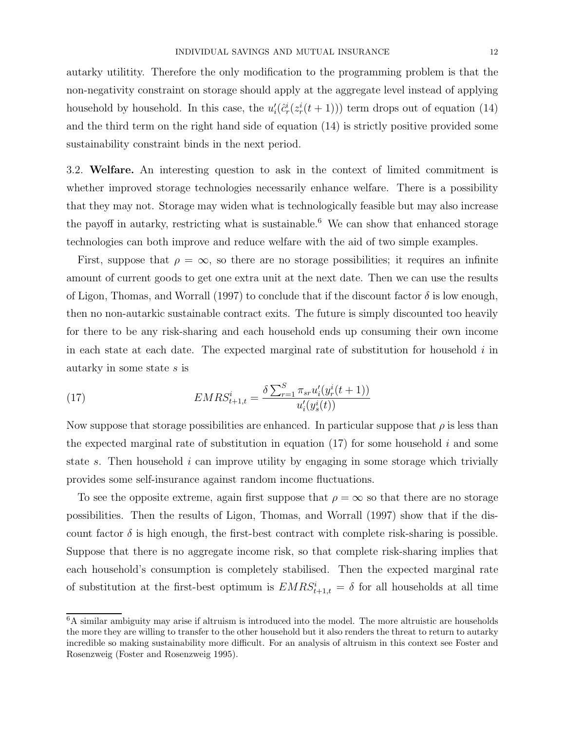autarky utilitity. Therefore the only modification to the programming problem is that the non-negativity constraint on storage should apply at the aggregate level instead of applying household by household. In this case, the  $u'_{i}(\hat{c}^i_r(z^i_r(t+1)))$  term drops out of equation (14) and the third term on the right hand side of equation (14) is strictly positive provided some sustainability constraint binds in the next period.

3.2. **Welfare.** An interesting question to ask in the context of limited commitment is whether improved storage technologies necessarily enhance welfare. There is a possibility that they may not. Storage may widen what is technologically feasible but may also increase the payoff in autarky, restricting what is sustainable.<sup>6</sup> We can show that enhanced storage technologies can both improve and reduce welfare with the aid of two simple examples.

First, suppose that  $\rho = \infty$ , so there are no storage possibilities; it requires an infinite amount of current goods to get one extra unit at the next date. Then we can use the results of Ligon, Thomas, and Worrall (1997) to conclude that if the discount factor  $\delta$  is low enough, then no non-autarkic sustainable contract exits. The future is simply discounted too heavily for there to be any risk-sharing and each household ends up consuming their own income in each state at each date. The expected marginal rate of substitution for household  $i$  in autarky in some state s is

(17) 
$$
EMRS_{t+1,t}^{i} = \frac{\delta \sum_{r=1}^{S} \pi_{sr} u_{i}'(y_{r}^{i}(t+1))}{u_{i}'(y_{s}^{i}(t))}
$$

Now suppose that storage possibilities are enhanced. In particular suppose that  $\rho$  is less than the expected marginal rate of substitution in equation  $(17)$  for some household i and some state s. Then household i can improve utility by engaging in some storage which trivially provides some self-insurance against random income fluctuations.

To see the opposite extreme, again first suppose that  $\rho = \infty$  so that there are no storage possibilities. Then the results of Ligon, Thomas, and Worrall (1997) show that if the discount factor  $\delta$  is high enough, the first-best contract with complete risk-sharing is possible. Suppose that there is no aggregate income risk, so that complete risk-sharing implies that each household's consumption is completely stabilised. Then the expected marginal rate of substitution at the first-best optimum is  $EMRS_{t+1,t}^i = \delta$  for all households at all time

<sup>6</sup>A similar ambiguity may arise if altruism is introduced into the model. The more altruistic are households the more they are willing to transfer to the other household but it also renders the threat to return to autarky incredible so making sustainability more difficult. For an analysis of altruism in this context see Foster and Rosenzweig (Foster and Rosenzweig 1995).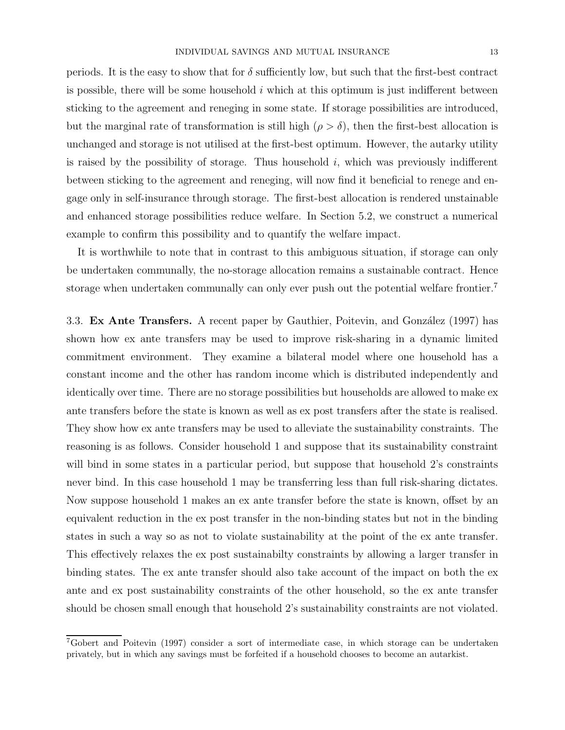periods. It is the easy to show that for  $\delta$  sufficiently low, but such that the first-best contract is possible, there will be some household  $i$  which at this optimum is just indifferent between sticking to the agreement and reneging in some state. If storage possibilities are introduced, but the marginal rate of transformation is still high  $(\rho > \delta)$ , then the first-best allocation is unchanged and storage is not utilised at the first-best optimum. However, the autarky utility is raised by the possibility of storage. Thus household  $i$ , which was previously indifferent between sticking to the agreement and reneging, will now find it beneficial to renege and en-

gage only in self-insurance through storage. The first-best allocation is rendered unstainable and enhanced storage possibilities reduce welfare. In Section 5.2, we construct a numerical example to confirm this possibility and to quantify the welfare impact.

It is worthwhile to note that in contrast to this ambiguous situation, if storage can only be undertaken communally, the no-storage allocation remains a sustainable contract. Hence storage when undertaken communally can only ever push out the potential welfare frontier.<sup>7</sup>

3.3. **Ex Ante Transfers.** A recent paper by Gauthier, Poitevin, and González (1997) has shown how ex ante transfers may be used to improve risk-sharing in a dynamic limited commitment environment. They examine a bilateral model where one household has a constant income and the other has random income which is distributed independently and identically over time. There are no storage possibilities but households are allowed to make ex ante transfers before the state is known as well as ex post transfers after the state is realised. They show how ex ante transfers may be used to alleviate the sustainability constraints. The reasoning is as follows. Consider household 1 and suppose that its sustainability constraint will bind in some states in a particular period, but suppose that household 2's constraints never bind. In this case household 1 may be transferring less than full risk-sharing dictates. Now suppose household 1 makes an ex ante transfer before the state is known, offset by an equivalent reduction in the ex post transfer in the non-binding states but not in the binding states in such a way so as not to violate sustainability at the point of the ex ante transfer. This effectively relaxes the ex post sustainabilty constraints by allowing a larger transfer in binding states. The ex ante transfer should also take account of the impact on both the ex ante and ex post sustainability constraints of the other household, so the ex ante transfer should be chosen small enough that household 2's sustainability constraints are not violated.

<sup>7</sup>Gobert and Poitevin (1997) consider a sort of intermediate case, in which storage can be undertaken privately, but in which any savings must be forfeited if a household chooses to become an autarkist.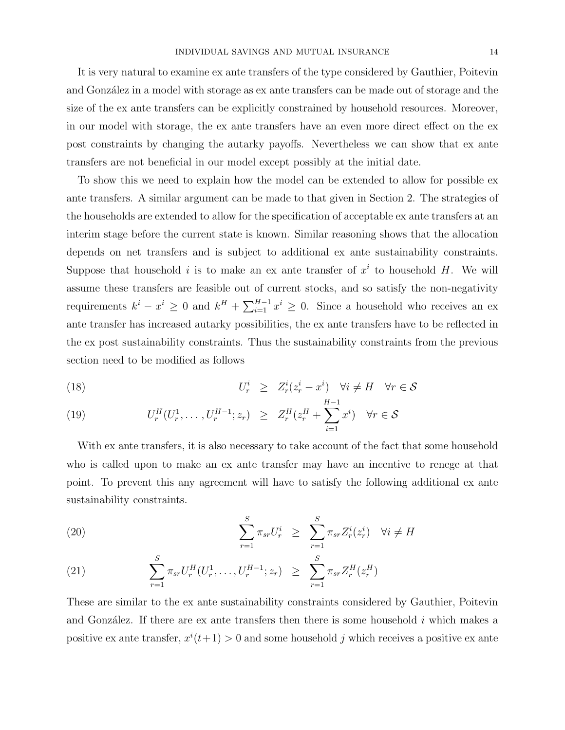It is very natural to examine ex ante transfers of the type considered by Gauthier, Poitevin and González in a model with storage as ex ante transfers can be made out of storage and the size of the ex ante transfers can be explicitly constrained by household resources. Moreover, in our model with storage, the ex ante transfers have an even more direct effect on the ex post constraints by changing the autarky payoffs. Nevertheless we can show that ex ante transfers are not beneficial in our model except possibly at the initial date.

To show this we need to explain how the model can be extended to allow for possible ex ante transfers. A similar argument can be made to that given in Section 2. The strategies of the households are extended to allow for the specification of acceptable ex ante transfers at an interim stage before the current state is known. Similar reasoning shows that the allocation depends on net transfers and is subject to additional ex ante sustainability constraints. Suppose that household i is to make an ex ante transfer of  $x^i$  to household H. We will assume these transfers are feasible out of current stocks, and so satisfy the non-negativity requirements  $k^{i} - x^{i} \geq 0$  and  $k^{H} + \sum_{i=1}^{H-1} x^{i} \geq 0$ . Since a household who receives an ex ante transfer has increased autarky possibilities, the ex ante transfers have to be reflected in the ex post sustainability constraints. Thus the sustainability constraints from the previous section need to be modified as follows

(18) 
$$
U_r^i \geq Z_r^i(z_r^i - x^i) \quad \forall i \neq H \quad \forall r \in \mathcal{S}
$$

(19) 
$$
U_r^H(U_r^1, \ldots, U_r^{H-1}; z_r) \geq Z_r^H(z_r^H + \sum_{i=1}^{H-1} x^i) \quad \forall r \in S
$$

With ex ante transfers, it is also necessary to take account of the fact that some household who is called upon to make an ex ante transfer may have an incentive to renege at that point. To prevent this any agreement will have to satisfy the following additional ex ante sustainability constraints.

(20) 
$$
\sum_{r=1}^{S} \pi_{sr} U_r^i \geq \sum_{r=1}^{S} \pi_{sr} Z_r^i(z_r^i) \quad \forall i \neq H
$$

(21) 
$$
\sum_{r=1}^{S} \pi_{sr} U_r^H(U_r^1, \dots, U_r^{H-1}; z_r) \geq \sum_{r=1}^{S} \pi_{sr} Z_r^H(z_r^H)
$$

These are similar to the ex ante sustainability constraints considered by Gauthier, Poitevin and González. If there are ex ante transfers then there is some household  $i$  which makes a positive ex ante transfer,  $x^{i}(t+1) > 0$  and some household j which receives a positive ex ante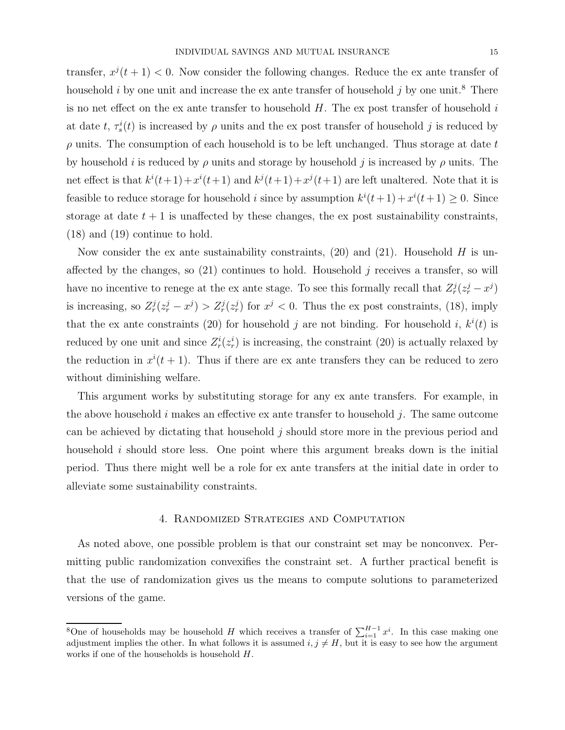transfer,  $x^{j}(t + 1) < 0$ . Now consider the following changes. Reduce the ex ante transfer of household *i* by one unit and increase the ex ante transfer of household *j* by one unit.<sup>8</sup> There is no net effect on the ex ante transfer to household  $H$ . The ex post transfer of household  $i$ at date t,  $\tau_s^i(t)$  is increased by  $\rho$  units and the ex post transfer of household j is reduced by  $\rho$  units. The consumption of each household is to be left unchanged. Thus storage at date t by household i is reduced by  $\rho$  units and storage by household j is increased by  $\rho$  units. The net effect is that  $k^{i}(t+1)+x^{i}(t+1)$  and  $k^{j}(t+1)+x^{j}(t+1)$  are left unaltered. Note that it is feasible to reduce storage for household *i* since by assumption  $k^{i}(t+1) + x^{i}(t+1) \geq 0$ . Since storage at date  $t + 1$  is unaffected by these changes, the ex post sustainability constraints, (18) and (19) continue to hold.

Now consider the ex ante sustainability constraints,  $(20)$  and  $(21)$ . Household H is unaffected by the changes, so  $(21)$  continues to hold. Household j receives a transfer, so will have no incentive to renege at the ex ante stage. To see this formally recall that  $Z_r^j(z_r^j - x^j)$ is increasing, so  $Z_r^j(z_r^j - x^j) > Z_r^j(z_r^j)$  for  $x^j < 0$ . Thus the expost constraints, (18), imply that the ex ante constraints (20) for household j are not binding. For household i,  $k^{i}(t)$  is reduced by one unit and since  $Z_r^i(z_r^i)$  is increasing, the constraint (20) is actually relaxed by the reduction in  $x^{i}(t+1)$ . Thus if there are ex ante transfers they can be reduced to zero without diminishing welfare.

This argument works by substituting storage for any ex ante transfers. For example, in the above household  $i$  makes an effective ex ante transfer to household  $j$ . The same outcome can be achieved by dictating that household  $j$  should store more in the previous period and household  $i$  should store less. One point where this argument breaks down is the initial period. Thus there might well be a role for ex ante transfers at the initial date in order to alleviate some sustainability constraints.

#### 4. Randomized Strategies and Computation

As noted above, one possible problem is that our constraint set may be nonconvex. Permitting public randomization convexifies the constraint set. A further practical benefit is that the use of randomization gives us the means to compute solutions to parameterized versions of the game.

<sup>&</sup>lt;sup>8</sup>One of households may be household H which receives a transfer of  $\sum_{i=1}^{H-1} x^i$ . In this case making one adjustment implies the other. In what follows it is assumed  $i, j \neq H$ , but it is easy to see how the argument works if one of the households is household  $H$ .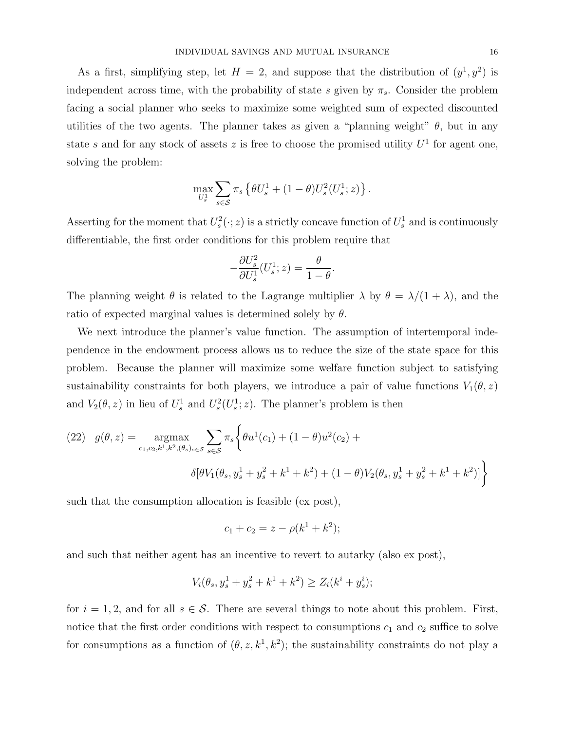As a first, simplifying step, let  $H = 2$ , and suppose that the distribution of  $(y^1, y^2)$  is independent across time, with the probability of state s given by  $\pi_s$ . Consider the problem facing a social planner who seeks to maximize some weighted sum of expected discounted utilities of the two agents. The planner takes as given a "planning weight"  $\theta$ , but in any state s and for any stock of assets z is free to choose the promised utility  $U^1$  for agent one, solving the problem:

$$
\max_{U_s^1} \sum_{s \in \mathcal{S}} \pi_s \left\{ \theta U_s^1 + (1-\theta) U_s^2(U_s^1; z) \right\}.
$$

Asserting for the moment that  $U_s^2(\cdot; z)$  is a strictly concave function of  $U_s^1$  and is continuously differentiable, the first order conditions for this problem require that

$$
-\frac{\partial U_s^2}{\partial U_s^1}(U_s^1; z) = \frac{\theta}{1 - \theta}
$$

.

The planning weight  $\theta$  is related to the Lagrange multiplier  $\lambda$  by  $\theta = \lambda/(1 + \lambda)$ , and the ratio of expected marginal values is determined solely by  $\theta$ .

We next introduce the planner's value function. The assumption of intertemporal independence in the endowment process allows us to reduce the size of the state space for this problem. Because the planner will maximize some welfare function subject to satisfying sustainability constraints for both players, we introduce a pair of value functions  $V_1(\theta, z)$ and  $V_2(\theta, z)$  in lieu of  $U_s^1$  and  $U_s^2(U_s^1; z)$ . The planner's problem is then

(22) 
$$
g(\theta, z) = \underset{c_1, c_2, k^1, k^2, (\theta_s)_s \in \mathcal{S}}{\operatorname{argmax}} \sum_{s \in \mathcal{S}} \pi_s \left\{ \theta u^1(c_1) + (1 - \theta) u^2(c_2) + \delta [\theta V_1(\theta_s, y_s^1 + y_s^2 + k^1 + k^2) + (1 - \theta) V_2(\theta_s, y_s^1 + y_s^2 + k^1 + k^2)] \right\}
$$

such that the consumption allocation is feasible (ex post),

$$
c_1 + c_2 = z - \rho(k^1 + k^2);
$$

and such that neither agent has an incentive to revert to autarky (also ex post),

$$
V_i(\theta_s, y_s^1 + y_s^2 + k^1 + k^2) \ge Z_i(k^i + y_s^i);
$$

for  $i = 1, 2$ , and for all  $s \in \mathcal{S}$ . There are several things to note about this problem. First, notice that the first order conditions with respect to consumptions  $c_1$  and  $c_2$  suffice to solve for consumptions as a function of  $(\theta, z, k^1, k^2)$ ; the sustainability constraints do not play a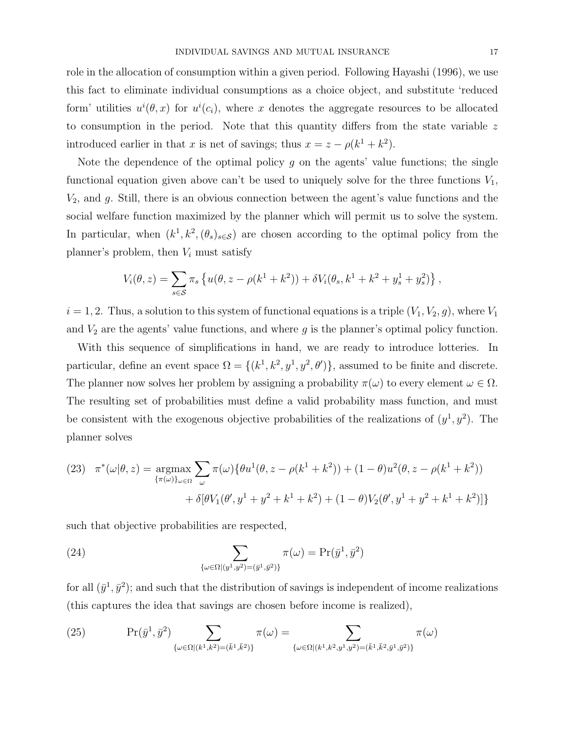role in the allocation of consumption within a given period. Following Hayashi (1996), we use this fact to eliminate individual consumptions as a choice object, and substitute 'reduced form' utilities  $u^{i}(\theta, x)$  for  $u^{i}(c_{i})$ , where x denotes the aggregate resources to be allocated to consumption in the period. Note that this quantity differs from the state variable  $z$ introduced earlier in that x is net of savings; thus  $x = z - \rho(k^1 + k^2)$ .

Note the dependence of the optimal policy  $g$  on the agents' value functions; the single functional equation given above can't be used to uniquely solve for the three functions  $V_1$ ,  $V_2$ , and g. Still, there is an obvious connection between the agent's value functions and the social welfare function maximized by the planner which will permit us to solve the system. In particular, when  $(k^1, k^2, (\theta_s)_{s \in \mathcal{S}})$  are chosen according to the optimal policy from the planner's problem, then  $V_i$  must satisfy

$$
V_i(\theta, z) = \sum_{s \in \mathcal{S}} \pi_s \left\{ u(\theta, z - \rho(k^1 + k^2)) + \delta V_i(\theta_s, k^1 + k^2 + y_s^1 + y_s^2) \right\},\,
$$

 $i = 1, 2$ . Thus, a solution to this system of functional equations is a triple  $(V_1, V_2, g)$ , where  $V_1$ and  $V_2$  are the agents' value functions, and where g is the planner's optimal policy function.

With this sequence of simplifications in hand, we are ready to introduce lotteries. In particular, define an event space  $\Omega = \{(k^1, k^2, y^1, y^2, \theta')\}$ , assumed to be finite and discrete. The planner now solves her problem by assigning a probability  $\pi(\omega)$  to every element  $\omega \in \Omega$ . The resulting set of probabilities must define a valid probability mass function, and must be consistent with the exogenous objective probabilities of the realizations of  $(y<sup>1</sup>, y<sup>2</sup>)$ . The planner solves

(23) 
$$
\pi^*(\omega|\theta, z) = \underset{\{\pi(\omega)\}_{\omega \in \Omega}}{\operatorname{argmax}} \sum_{\omega} \pi(\omega) \{ \theta u^1(\theta, z - \rho(k^1 + k^2)) + (1 - \theta) u^2(\theta, z - \rho(k^1 + k^2)) + \delta[\theta V_1(\theta', y^1 + y^2 + k^1 + k^2) + (1 - \theta) V_2(\theta', y^1 + y^2 + k^1 + k^2)] \}
$$

such that objective probabilities are respected,

(24) 
$$
\sum_{\{\omega \in \Omega | (y^1, y^2) = (\bar{y}^1, \bar{y}^2) \}} \pi(\omega) = \Pr(\bar{y}^1, \bar{y}^2)
$$

for all  $(\bar{y}^1, \bar{y}^2)$ ; and such that the distribution of savings is independent of income realizations (this captures the idea that savings are chosen before income is realized),

(25) 
$$
\Pr(\bar{y}^1, \bar{y}^2) \sum_{\{\omega \in \Omega | (k^1, k^2) = (\bar{k}^1, \bar{k}^2) \}} \pi(\omega) = \sum_{\{\omega \in \Omega | (k^1, k^2, y^1, y^2) = (\bar{k}^1, \bar{k}^2, \bar{y}^1, \bar{y}^2) \}} \pi(\omega)
$$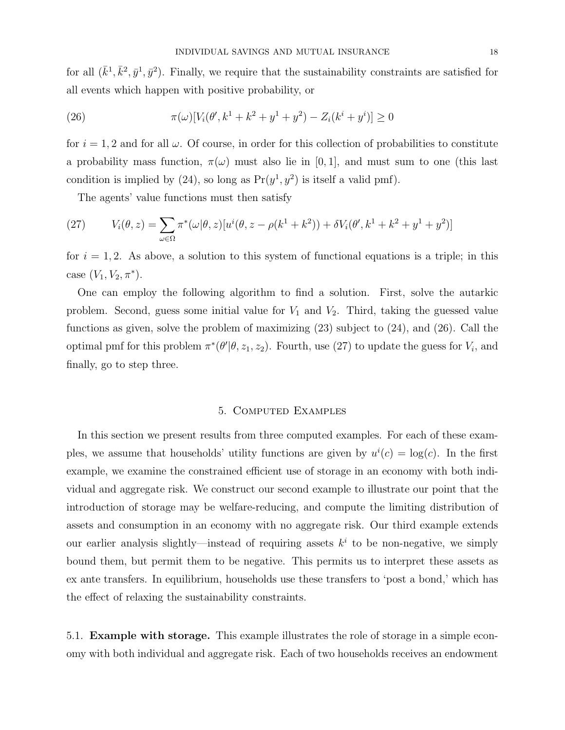for all  $(\bar{k}^1, \bar{k}^2, \bar{y}^1, \bar{y}^2)$ . Finally, we require that the sustainability constraints are satisfied for all events which happen with positive probability, or

(26) 
$$
\pi(\omega)[V_i(\theta', k^1 + k^2 + y^1 + y^2) - Z_i(k^i + y^i)] \ge 0
$$

for  $i = 1, 2$  and for all  $\omega$ . Of course, in order for this collection of probabilities to constitute a probability mass function,  $\pi(\omega)$  must also lie in [0, 1], and must sum to one (this last condition is implied by (24), so long as  $Pr(y^1, y^2)$  is itself a valid pmf).

The agents' value functions must then satisfy

(27) 
$$
V_i(\theta, z) = \sum_{\omega \in \Omega} \pi^* (\omega | \theta, z) [u^i(\theta, z - \rho(k^1 + k^2)) + \delta V_i(\theta', k^1 + k^2 + y^1 + y^2)]
$$

for  $i = 1, 2$ . As above, a solution to this system of functional equations is a triple; in this case  $(V_1, V_2, \pi^*)$ .

One can employ the following algorithm to find a solution. First, solve the autarkic problem. Second, guess some initial value for  $V_1$  and  $V_2$ . Third, taking the guessed value functions as given, solve the problem of maximizing (23) subject to (24), and (26). Call the optimal pmf for this problem  $\pi^*(\theta'|\theta, z_1, z_2)$ . Fourth, use (27) to update the guess for  $V_i$ , and finally, go to step three.

## 5. Computed Examples

In this section we present results from three computed examples. For each of these examples, we assume that households' utility functions are given by  $u^{i}(c) = \log(c)$ . In the first example, we examine the constrained efficient use of storage in an economy with both individual and aggregate risk. We construct our second example to illustrate our point that the introduction of storage may be welfare-reducing, and compute the limiting distribution of assets and consumption in an economy with no aggregate risk. Our third example extends our earlier analysis slightly—instead of requiring assets  $k<sup>i</sup>$  to be non-negative, we simply bound them, but permit them to be negative. This permits us to interpret these assets as ex ante transfers. In equilibrium, households use these transfers to 'post a bond,' which has the effect of relaxing the sustainability constraints.

5.1. **Example with storage.** This example illustrates the role of storage in a simple economy with both individual and aggregate risk. Each of two households receives an endowment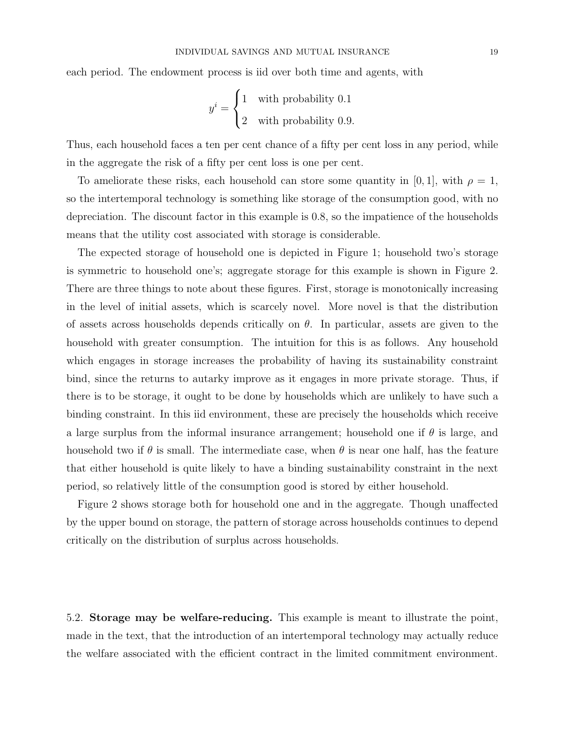each period. The endowment process is iid over both time and agents, with

$$
y^{i} = \begin{cases} 1 & \text{with probability } 0.1 \\ 2 & \text{with probability } 0.9. \end{cases}
$$

Thus, each household faces a ten per cent chance of a fifty per cent loss in any period, while in the aggregate the risk of a fifty per cent loss is one per cent.

To ameliorate these risks, each household can store some quantity in [0, 1], with  $\rho = 1$ , so the intertemporal technology is something like storage of the consumption good, with no depreciation. The discount factor in this example is 0.8, so the impatience of the households means that the utility cost associated with storage is considerable.

The expected storage of household one is depicted in Figure 1; household two's storage is symmetric to household one's; aggregate storage for this example is shown in Figure 2. There are three things to note about these figures. First, storage is monotonically increasing in the level of initial assets, which is scarcely novel. More novel is that the distribution of assets across households depends critically on  $\theta$ . In particular, assets are given to the household with greater consumption. The intuition for this is as follows. Any household which engages in storage increases the probability of having its sustainability constraint bind, since the returns to autarky improve as it engages in more private storage. Thus, if there is to be storage, it ought to be done by households which are unlikely to have such a binding constraint. In this iid environment, these are precisely the households which receive a large surplus from the informal insurance arrangement; household one if  $\theta$  is large, and household two if  $\theta$  is small. The intermediate case, when  $\theta$  is near one half, has the feature that either household is quite likely to have a binding sustainability constraint in the next period, so relatively little of the consumption good is stored by either household.

Figure 2 shows storage both for household one and in the aggregate. Though unaffected by the upper bound on storage, the pattern of storage across households continues to depend critically on the distribution of surplus across households.

5.2. **Storage may be welfare-reducing.** This example is meant to illustrate the point, made in the text, that the introduction of an intertemporal technology may actually reduce the welfare associated with the efficient contract in the limited commitment environment.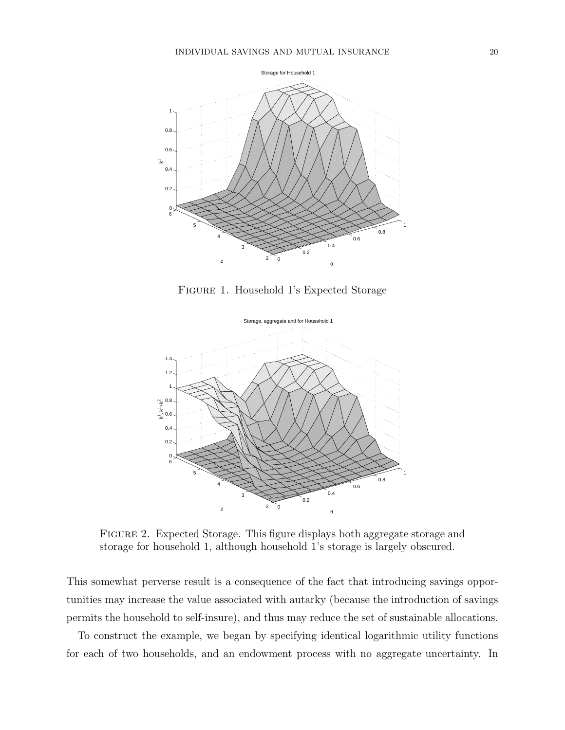

Figure 1. Household 1's Expected Storage



Figure 2. Expected Storage. This figure displays both aggregate storage and storage for household 1, although household 1's storage is largely obscured.

This somewhat perverse result is a consequence of the fact that introducing savings opportunities may increase the value associated with autarky (because the introduction of savings permits the household to self-insure), and thus may reduce the set of sustainable allocations.

To construct the example, we began by specifying identical logarithmic utility functions for each of two households, and an endowment process with no aggregate uncertainty. In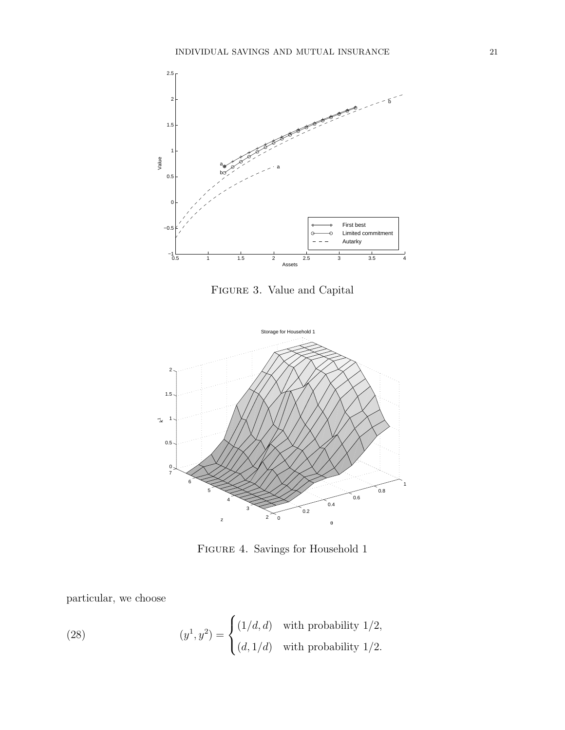

Figure 3. Value and Capital



Figure 4. Savings for Household 1

particular, we choose

(28) 
$$
(y^1, y^2) = \begin{cases} (1/d, d) & \text{with probability } 1/2, \\ (d, 1/d) & \text{with probability } 1/2. \end{cases}
$$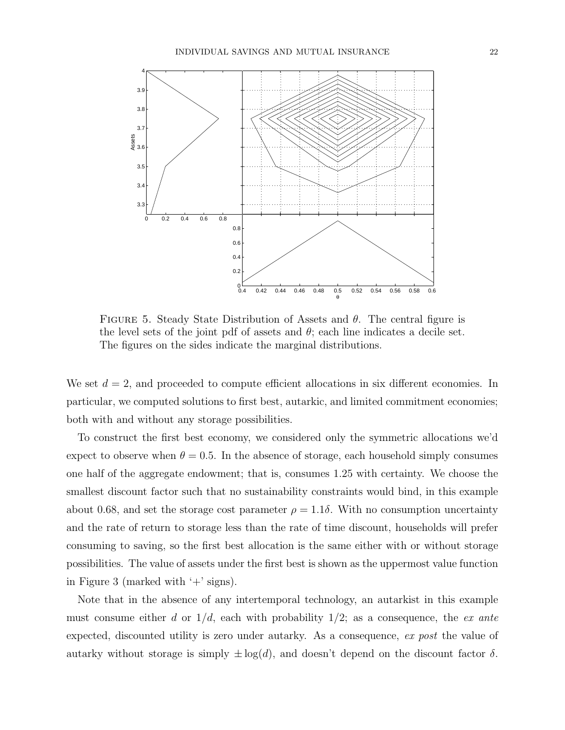

FIGURE 5. Steady State Distribution of Assets and  $\theta$ . The central figure is the level sets of the joint pdf of assets and  $\theta$ ; each line indicates a decile set. The figures on the sides indicate the marginal distributions.

We set  $d = 2$ , and proceeded to compute efficient allocations in six different economies. In particular, we computed solutions to first best, autarkic, and limited commitment economies; both with and without any storage possibilities.

To construct the first best economy, we considered only the symmetric allocations we'd expect to observe when  $\theta = 0.5$ . In the absence of storage, each household simply consumes one half of the aggregate endowment; that is, consumes 1.25 with certainty. We choose the smallest discount factor such that no sustainability constraints would bind, in this example about 0.68, and set the storage cost parameter  $\rho = 1.1\delta$ . With no consumption uncertainty and the rate of return to storage less than the rate of time discount, households will prefer consuming to saving, so the first best allocation is the same either with or without storage possibilities. The value of assets under the first best is shown as the uppermost value function in Figure 3 (marked with  $+$  signs).

Note that in the absence of any intertemporal technology, an autarkist in this example must consume either d or  $1/d$ , each with probability  $1/2$ ; as a consequence, the ex ante expected, discounted utility is zero under autarky. As a consequence, ex post the value of autarky without storage is simply  $\pm \log(d)$ , and doesn't depend on the discount factor  $\delta$ .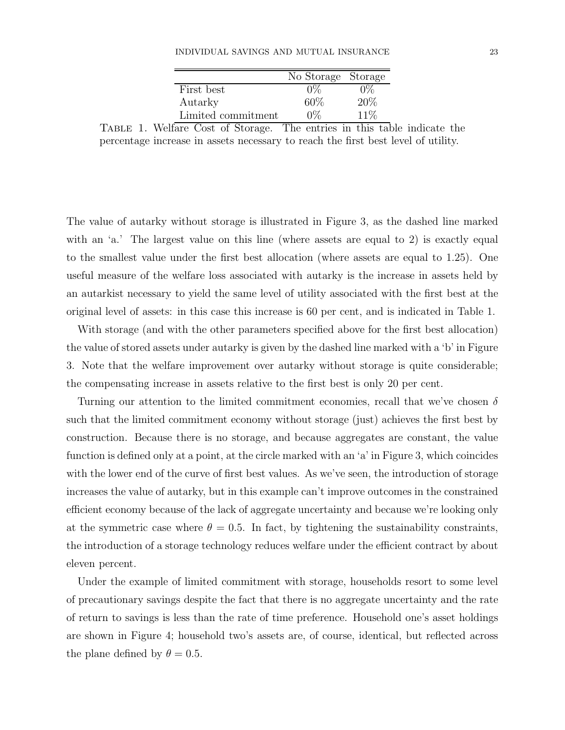### INDIVIDUAL SAVINGS AND MUTUAL INSURANCE 23

|                    | No Storage Storage |      |
|--------------------|--------------------|------|
| First best         |                    |      |
| Autarky            | 60%                | 20%  |
| Limited commitment | 0%                 | 11\% |
|                    |                    |      |

Table 1. Welfare Cost of Storage. The entries in this table indicate the percentage increase in assets necessary to reach the first best level of utility.

The value of autarky without storage is illustrated in Figure 3, as the dashed line marked with an 'a.' The largest value on this line (where assets are equal to 2) is exactly equal to the smallest value under the first best allocation (where assets are equal to 1.25). One useful measure of the welfare loss associated with autarky is the increase in assets held by an autarkist necessary to yield the same level of utility associated with the first best at the original level of assets: in this case this increase is 60 per cent, and is indicated in Table 1.

With storage (and with the other parameters specified above for the first best allocation) the value of stored assets under autarky is given by the dashed line marked with a 'b' in Figure 3. Note that the welfare improvement over autarky without storage is quite considerable; the compensating increase in assets relative to the first best is only 20 per cent.

Turning our attention to the limited commitment economies, recall that we've chosen  $\delta$ such that the limited commitment economy without storage (just) achieves the first best by construction. Because there is no storage, and because aggregates are constant, the value function is defined only at a point, at the circle marked with an 'a' in Figure 3, which coincides with the lower end of the curve of first best values. As we've seen, the introduction of storage increases the value of autarky, but in this example can't improve outcomes in the constrained efficient economy because of the lack of aggregate uncertainty and because we're looking only at the symmetric case where  $\theta = 0.5$ . In fact, by tightening the sustainability constraints, the introduction of a storage technology reduces welfare under the efficient contract by about eleven percent.

Under the example of limited commitment with storage, households resort to some level of precautionary savings despite the fact that there is no aggregate uncertainty and the rate of return to savings is less than the rate of time preference. Household one's asset holdings are shown in Figure 4; household two's assets are, of course, identical, but reflected across the plane defined by  $\theta = 0.5$ .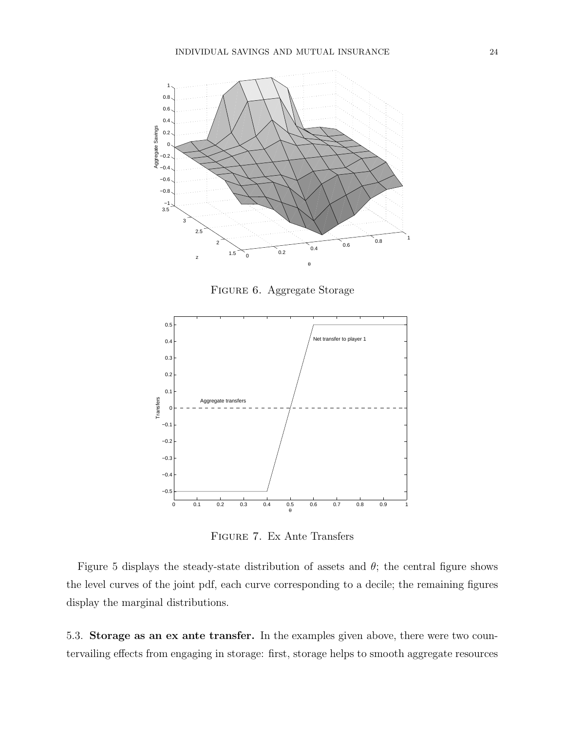

Figure 6. Aggregate Storage



Figure 7. Ex Ante Transfers

Figure 5 displays the steady-state distribution of assets and  $\theta$ ; the central figure shows the level curves of the joint pdf, each curve corresponding to a decile; the remaining figures display the marginal distributions.

5.3. **Storage as an ex ante transfer.** In the examples given above, there were two countervailing effects from engaging in storage: first, storage helps to smooth aggregate resources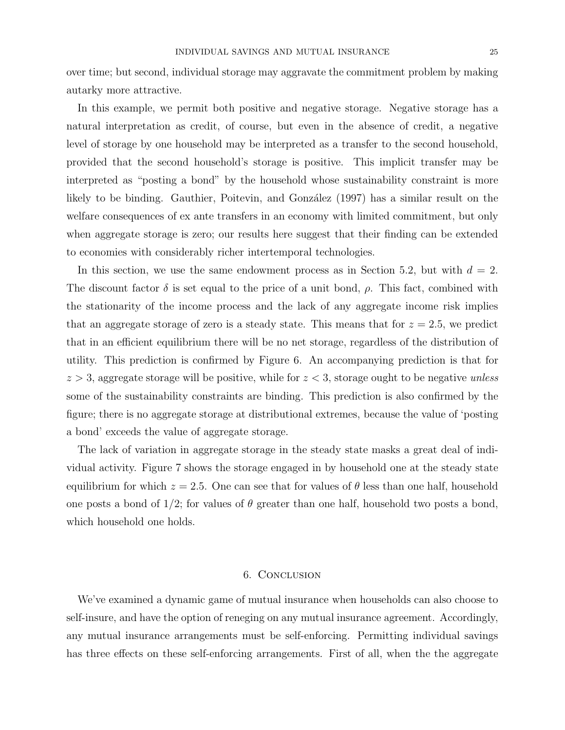over time; but second, individual storage may aggravate the commitment problem by making autarky more attractive.

In this example, we permit both positive and negative storage. Negative storage has a natural interpretation as credit, of course, but even in the absence of credit, a negative level of storage by one household may be interpreted as a transfer to the second household, provided that the second household's storage is positive. This implicit transfer may be interpreted as "posting a bond" by the household whose sustainability constraint is more likely to be binding. Gauthier, Poitevin, and González (1997) has a similar result on the welfare consequences of ex ante transfers in an economy with limited commitment, but only when aggregate storage is zero; our results here suggest that their finding can be extended to economies with considerably richer intertemporal technologies.

In this section, we use the same endowment process as in Section 5.2, but with  $d = 2$ . The discount factor  $\delta$  is set equal to the price of a unit bond,  $\rho$ . This fact, combined with the stationarity of the income process and the lack of any aggregate income risk implies that an aggregate storage of zero is a steady state. This means that for  $z = 2.5$ , we predict that in an efficient equilibrium there will be no net storage, regardless of the distribution of utility. This prediction is confirmed by Figure 6. An accompanying prediction is that for  $z > 3$ , aggregate storage will be positive, while for  $z < 3$ , storage ought to be negative unless some of the sustainability constraints are binding. This prediction is also confirmed by the figure; there is no aggregate storage at distributional extremes, because the value of 'posting a bond' exceeds the value of aggregate storage.

The lack of variation in aggregate storage in the steady state masks a great deal of individual activity. Figure 7 shows the storage engaged in by household one at the steady state equilibrium for which  $z = 2.5$ . One can see that for values of  $\theta$  less than one half, household one posts a bond of  $1/2$ ; for values of  $\theta$  greater than one half, household two posts a bond, which household one holds.

### 6. Conclusion

We've examined a dynamic game of mutual insurance when households can also choose to self-insure, and have the option of reneging on any mutual insurance agreement. Accordingly, any mutual insurance arrangements must be self-enforcing. Permitting individual savings has three effects on these self-enforcing arrangements. First of all, when the the aggregate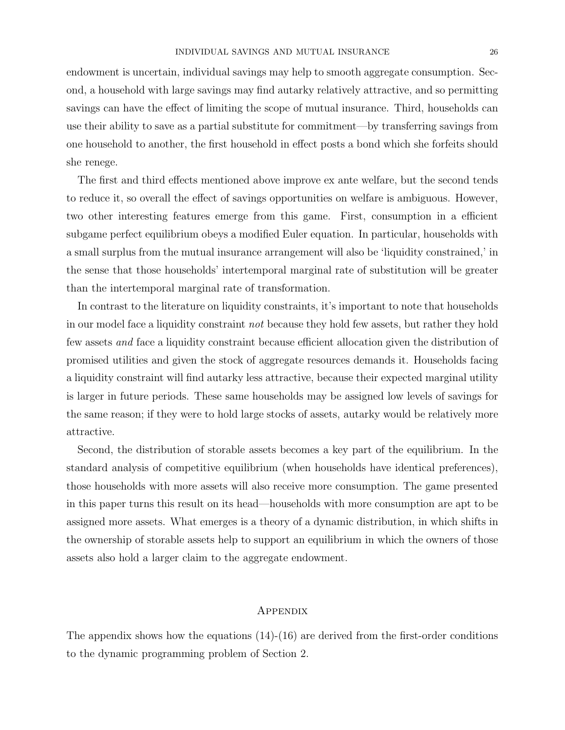endowment is uncertain, individual savings may help to smooth aggregate consumption. Second, a household with large savings may find autarky relatively attractive, and so permitting savings can have the effect of limiting the scope of mutual insurance. Third, households can use their ability to save as a partial substitute for commitment—by transferring savings from one household to another, the first household in effect posts a bond which she forfeits should she renege.

The first and third effects mentioned above improve ex ante welfare, but the second tends to reduce it, so overall the effect of savings opportunities on welfare is ambiguous. However, two other interesting features emerge from this game. First, consumption in a efficient subgame perfect equilibrium obeys a modified Euler equation. In particular, households with a small surplus from the mutual insurance arrangement will also be 'liquidity constrained,' in the sense that those households' intertemporal marginal rate of substitution will be greater than the intertemporal marginal rate of transformation.

In contrast to the literature on liquidity constraints, it's important to note that households in our model face a liquidity constraint not because they hold few assets, but rather they hold few assets and face a liquidity constraint because efficient allocation given the distribution of promised utilities and given the stock of aggregate resources demands it. Households facing a liquidity constraint will find autarky less attractive, because their expected marginal utility is larger in future periods. These same households may be assigned low levels of savings for the same reason; if they were to hold large stocks of assets, autarky would be relatively more attractive.

Second, the distribution of storable assets becomes a key part of the equilibrium. In the standard analysis of competitive equilibrium (when households have identical preferences), those households with more assets will also receive more consumption. The game presented in this paper turns this result on its head—households with more consumption are apt to be assigned more assets. What emerges is a theory of a dynamic distribution, in which shifts in the ownership of storable assets help to support an equilibrium in which the owners of those assets also hold a larger claim to the aggregate endowment.

# **APPENDIX**

The appendix shows how the equations  $(14)-(16)$  are derived from the first-order conditions to the dynamic programming problem of Section 2.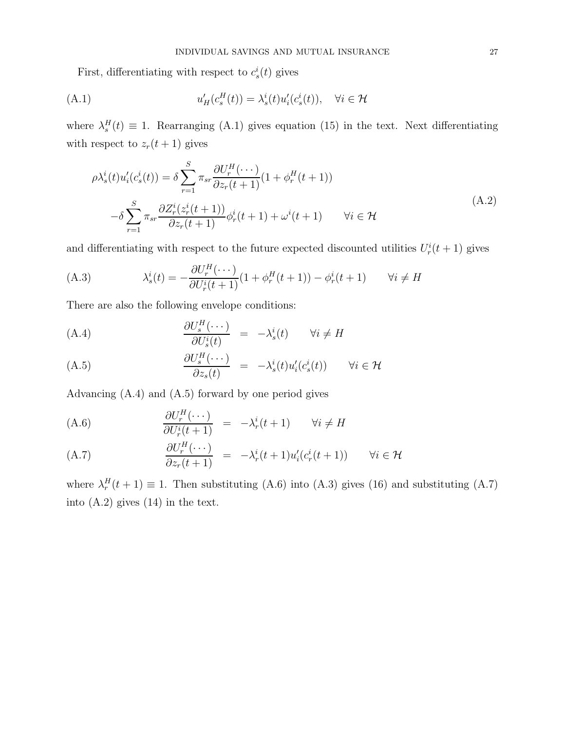First, differentiating with respect to  $c_s^i(t)$  gives

(A.1) 
$$
u'_H(c_s^H(t)) = \lambda_s^i(t)u'_i(c_s^i(t)), \quad \forall i \in \mathcal{H}
$$

where  $\lambda_s^H(t) \equiv 1$ . Rearranging (A.1) gives equation (15) in the text. Next differentiating with respect to  $z_r(t+1)$  gives

$$
\rho \lambda_s^i(t) u_i'(c_s^i(t)) = \delta \sum_{r=1}^S \pi_{sr} \frac{\partial U_r^H(\cdots)}{\partial z_r(t+1)} (1 + \phi_r^H(t+1))
$$
  

$$
-\delta \sum_{r=1}^S \pi_{sr} \frac{\partial Z_r^i(z_r^i(t+1))}{\partial z_r(t+1)} \phi_r^i(t+1) + \omega^i(t+1) \qquad \forall i \in \mathcal{H}
$$
  
(A.2)

and differentiating with respect to the future expected discounted utilities  $U_r^i(t+1)$  gives

(A.3) 
$$
\lambda_s^i(t) = -\frac{\partial U_r^H(\cdots)}{\partial U_r^i(t+1)}(1+\phi_r^H(t+1)) - \phi_r^i(t+1) \qquad \forall i \neq H
$$

There are also the following envelope conditions:

(A.4) 
$$
\frac{\partial U_s^H(\cdots)}{\partial U_s^i(t)} = -\lambda_s^i(t) \qquad \forall i \neq H
$$

(A.5) 
$$
\frac{\partial U_s^H(\cdots)}{\partial z_s(t)} = -\lambda_s^i(t)u_i'(c_s^i(t)) \qquad \forall i \in \mathcal{H}
$$

Advancing (A.4) and (A.5) forward by one period gives

(A.6) 
$$
\frac{\partial U_r^H(\cdots)}{\partial U_r^i(t+1)} = -\lambda_r^i(t+1) \qquad \forall i \neq H
$$

(A.7) 
$$
\frac{\partial U_r^H(\cdots)}{\partial z_r(t+1)} = -\lambda_r^i(t+1)u_i'(c_r^i(t+1)) \qquad \forall i \in \mathcal{H}
$$

where  $\lambda_r^H(t+1) \equiv 1$ . Then substituting (A.6) into (A.3) gives (16) and substituting (A.7) into (A.2) gives (14) in the text.